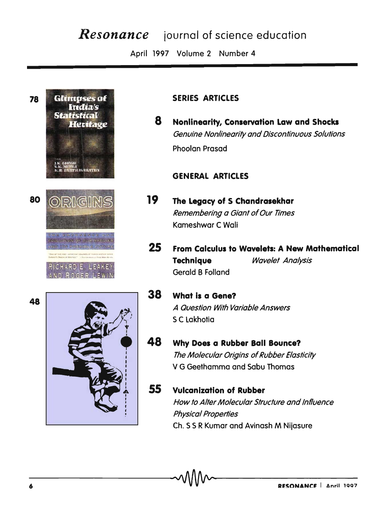# **Resonance** journal of science education

April 1997 Volume 2 Number 4



## **SERIES ARTICLES**

8 Nonlinearity, Conservation Law and Shocks **Genuine Nonlinearity and Discontinuous Solutions** Phoolan Prasad

## **GENERAL ARTICLES**

- $19<sup>°</sup>$ The Legacy of S Chandrasekhar Remembering a Giant of Our Times Kameshwar C Wali
- 25 From Calculus to Wavelets: A New Mathematical **Technique Wavelet Analysis** Gerald B Folland
- 38 **What is a Gene?** A Question With Variable Answers S C Lakhotia
- 48 Why Does a Rubber Ball Bounce? The Molecular Origins of Rubber Elasticity V G Geethamma and Sabu Thomas
- 55 **Vulcanization of Rubber** How to Alter Molecular Structure and Influence **Physical Properties** Ch. S S R Kumar and Avinash M Nijasure

48